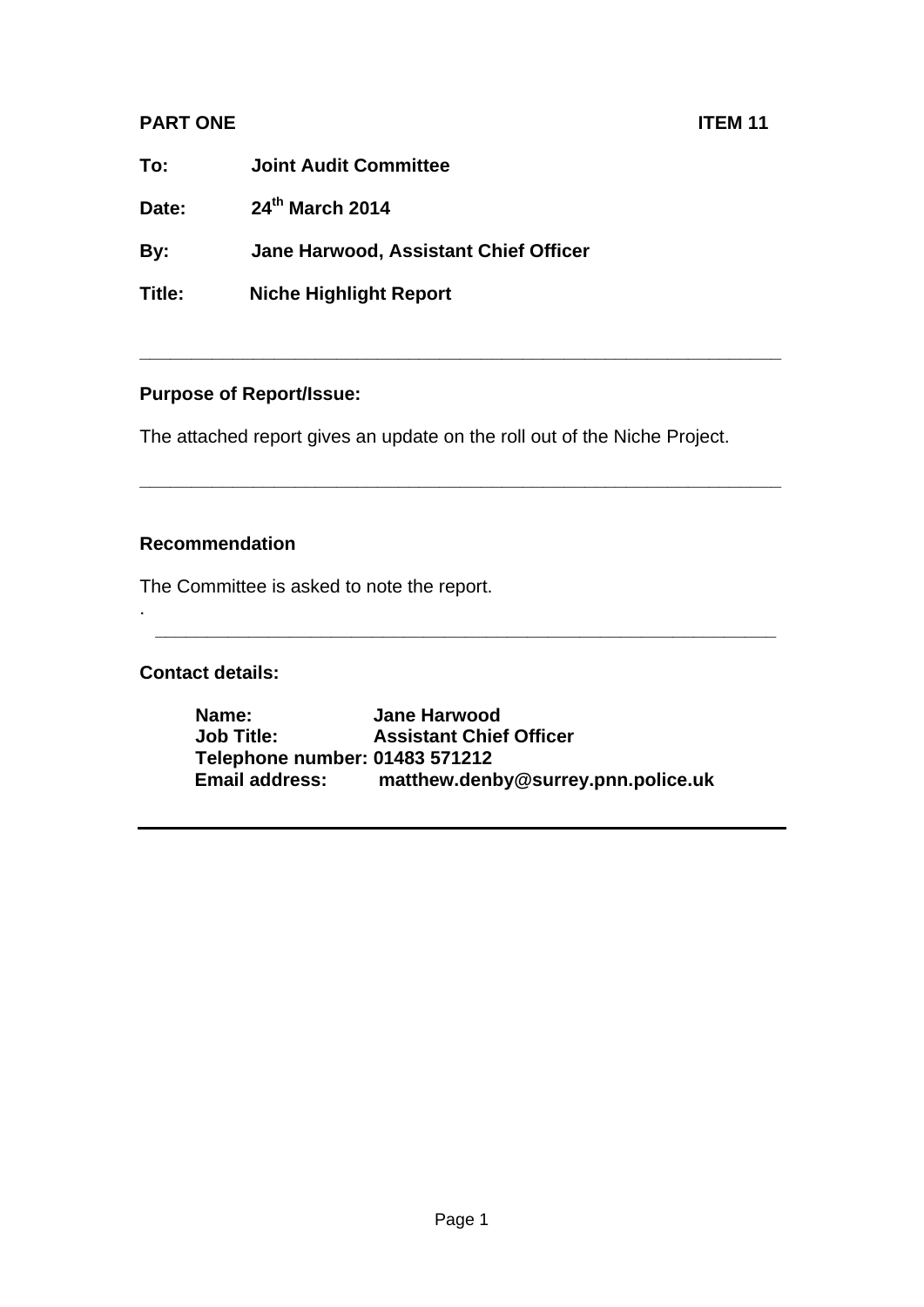# **PART ONE** ITEM 11

**To: Joint Audit Committee** 

**Date: 24th March 2014** 

**By: Jane Harwood, Assistant Chief Officer** 

**Title: Niche Highlight Report** 

#### **Purpose of Report/Issue:**

The attached report gives an update on the roll out of the Niche Project.

**\_\_\_\_\_\_\_\_\_\_\_\_\_\_\_\_\_\_\_\_\_\_\_\_\_\_\_\_\_\_\_\_\_\_\_\_\_\_\_\_\_\_\_\_\_\_\_\_\_\_\_\_\_\_\_\_\_\_\_\_\_\_** 

**\_\_\_\_\_\_\_\_\_\_\_\_\_\_\_\_\_\_\_\_\_\_\_\_\_\_\_\_\_\_\_\_\_\_\_\_\_\_\_\_\_\_\_\_\_\_\_\_\_\_\_\_\_\_\_\_\_\_\_\_\_\_** 

## **Recommendation**

The Committee is asked to note the report.

## **Contact details:**

.

**Name: Jane Harwood Job Title: Assistant Chief Officer Telephone number: 01483 571212 Email address: matthew.denby@surrey.pnn.police.uk** 

**\_\_\_\_\_\_\_\_\_\_\_\_\_\_\_\_\_\_\_\_\_\_\_\_\_\_\_\_\_\_\_\_\_\_\_\_\_\_\_\_\_\_\_\_\_\_\_\_\_\_\_\_\_\_\_\_\_\_\_\_**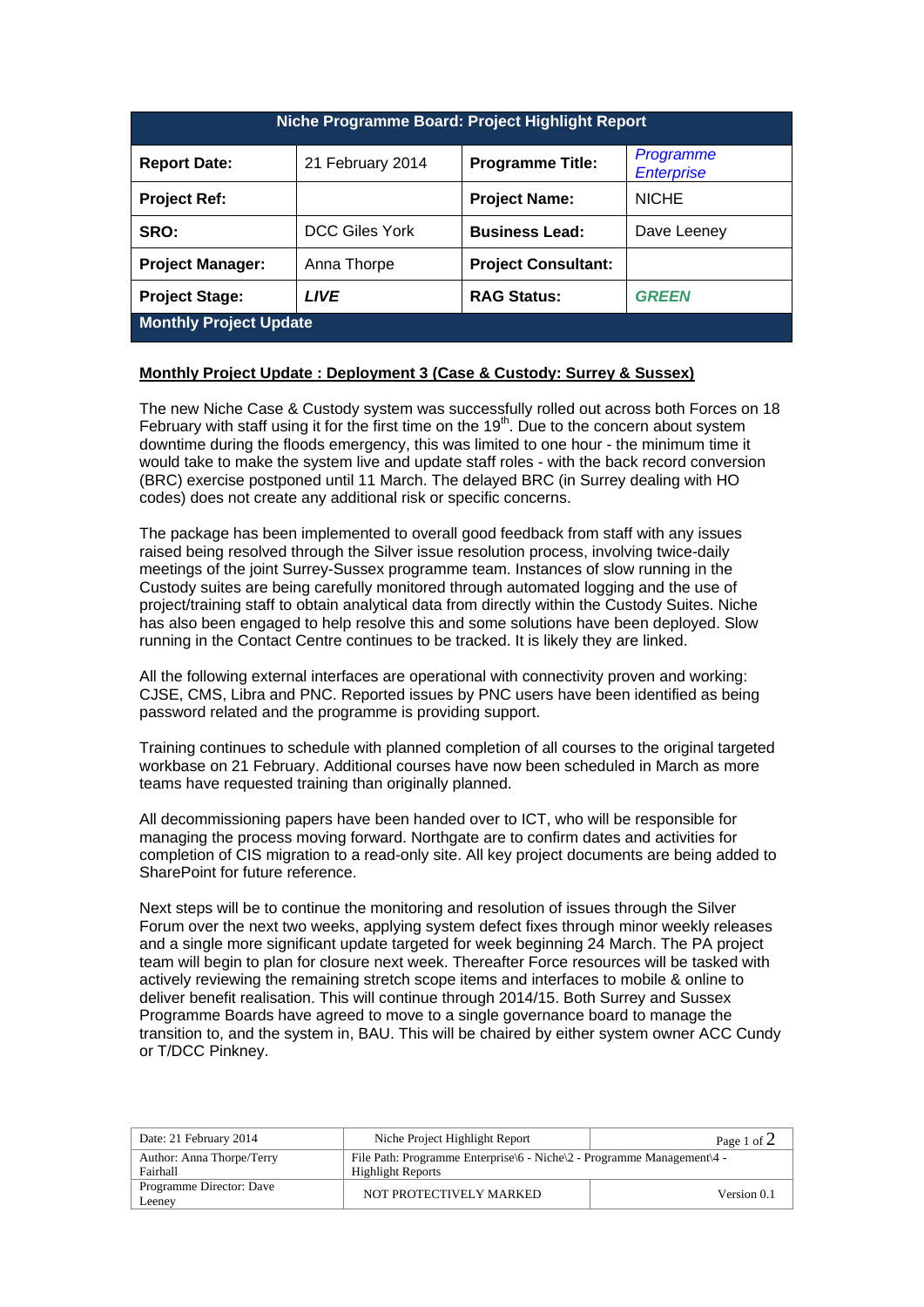| Niche Programme Board: Project Highlight Report |                       |                            |                                |
|-------------------------------------------------|-----------------------|----------------------------|--------------------------------|
| <b>Report Date:</b>                             | 21 February 2014      | <b>Programme Title:</b>    | Programme<br><b>Enterprise</b> |
| <b>Project Ref:</b>                             |                       | <b>Project Name:</b>       | <b>NICHE</b>                   |
| SRO:                                            | <b>DCC Giles York</b> | <b>Business Lead:</b>      | Dave Leeney                    |
| <b>Project Manager:</b>                         | Anna Thorpe           | <b>Project Consultant:</b> |                                |
| <b>Project Stage:</b>                           | <b>LIVE</b>           | <b>RAG Status:</b>         | <b>GREEN</b>                   |
| <b>Monthly Project Update</b>                   |                       |                            |                                |

#### **Monthly Project Update : Deployment 3 (Case & Custody: Surrey & Sussex)**

The new Niche Case & Custody system was successfully rolled out across both Forces on 18 February with staff using it for the first time on the 19<sup>th</sup>. Due to the concern about system downtime during the floods emergency, this was limited to one hour - the minimum time it would take to make the system live and update staff roles - with the back record conversion (BRC) exercise postponed until 11 March. The delayed BRC (in Surrey dealing with HO codes) does not create any additional risk or specific concerns.

The package has been implemented to overall good feedback from staff with any issues raised being resolved through the Silver issue resolution process, involving twice-daily meetings of the joint Surrey-Sussex programme team. Instances of slow running in the Custody suites are being carefully monitored through automated logging and the use of project/training staff to obtain analytical data from directly within the Custody Suites. Niche has also been engaged to help resolve this and some solutions have been deployed. Slow running in the Contact Centre continues to be tracked. It is likely they are linked.

All the following external interfaces are operational with connectivity proven and working: CJSE, CMS, Libra and PNC. Reported issues by PNC users have been identified as being password related and the programme is providing support.

Training continues to schedule with planned completion of all courses to the original targeted workbase on 21 February. Additional courses have now been scheduled in March as more teams have requested training than originally planned.

All decommissioning papers have been handed over to ICT, who will be responsible for managing the process moving forward. Northgate are to confirm dates and activities for completion of CIS migration to a read-only site. All key project documents are being added to SharePoint for future reference.

Next steps will be to continue the monitoring and resolution of issues through the Silver Forum over the next two weeks, applying system defect fixes through minor weekly releases and a single more significant update targeted for week beginning 24 March. The PA project team will begin to plan for closure next week. Thereafter Force resources will be tasked with actively reviewing the remaining stretch scope items and interfaces to mobile & online to deliver benefit realisation. This will continue through 2014/15. Both Surrey and Sussex Programme Boards have agreed to move to a single governance board to manage the transition to, and the system in, BAU. This will be chaired by either system owner ACC Cundy or T/DCC Pinkney.

| Date: 21 February 2014                | Niche Project Highlight Report                                                                           | Page 1 of $2$ |  |
|---------------------------------------|----------------------------------------------------------------------------------------------------------|---------------|--|
| Author: Anna Thorpe/Terry<br>Fairhall | File Path: Programme Enterprise $6 -$ Niche $2 -$ Programme Management $4 -$<br><b>Highlight Reports</b> |               |  |
| Programme Director: Dave<br>Leenev    | NOT PROTECTIVELY MARKED                                                                                  | Version 0.1   |  |